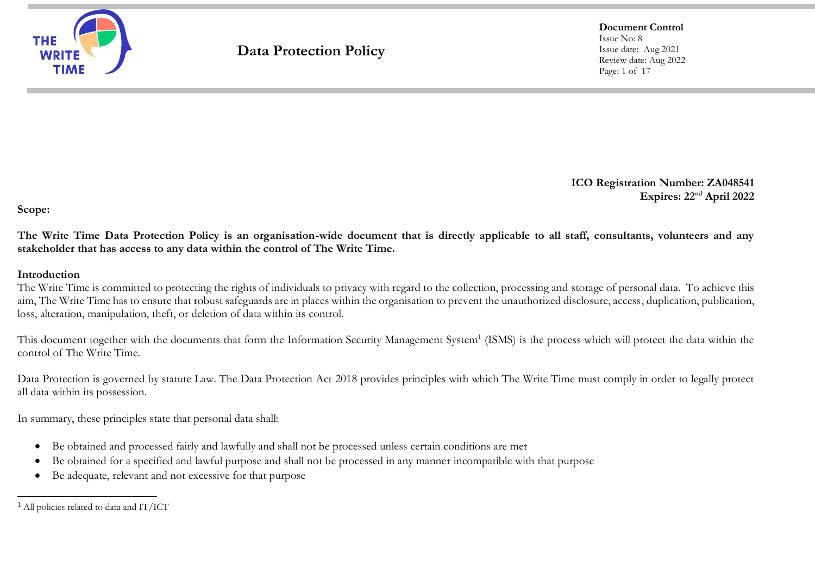

**Document Control** Issue No: 8 Issue date: Aug 2021 Review date: Aug 2022 Page: 1 of 17

**ICO Registration Number: ZA048541 Expires: 22nd April 2022**

**Scope:**

**The Write Time Data Protection Policy is an organisation-wide document that is directly applicable to all staff, consultants, volunteers and any stakeholder that has access to any data within the control of The Write Time.**

#### **Introduction**

The Write Time is committed to protecting the rights of individuals to privacy with regard to the collection, processing and storage of personal data. To achieve this aim, The Write Time has to ensure that robust safeguards are in places within the organisation to prevent the unauthorized disclosure, access, duplication, publication, loss, alteration, manipulation, theft, or deletion of data within its control.

This document together with the documents that form the Information Security Management System<sup>1</sup> (ISMS) is the process which will protect the data within the control of The Write Time.

Data Protection is governed by statute Law. The Data Protection Act 2018 provides principles with which The Write Time must comply in order to legally protect all data within its possession.

In summary, these principles state that personal data shall:

- Be obtained and processed fairly and lawfully and shall not be processed unless certain conditions are met
- Be obtained for a specified and lawful purpose and shall not be processed in any manner incompatible with that purpose
- Be adequate, relevant and not excessive for that purpose

<sup>1</sup> All policies related to data and IT/ICT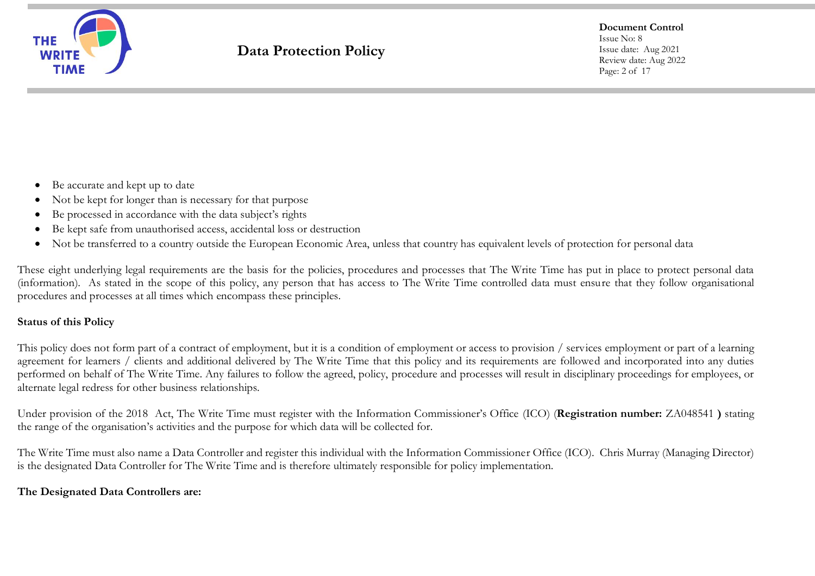

**Document Control** Issue No: 8 Issue date: Aug 2021 Review date: Aug 2022 Page: 2 of 17

- Be accurate and kept up to date
- Not be kept for longer than is necessary for that purpose
- Be processed in accordance with the data subject's rights
- Be kept safe from unauthorised access, accidental loss or destruction
- Not be transferred to a country outside the European Economic Area, unless that country has equivalent levels of protection for personal data

These eight underlying legal requirements are the basis for the policies, procedures and processes that The Write Time has put in place to protect personal data (information). As stated in the scope of this policy, any person that has access to The Write Time controlled data must ensure that they follow organisational procedures and processes at all times which encompass these principles.

### **Status of this Policy**

This policy does not form part of a contract of employment, but it is a condition of employment or access to provision / services employment or part of a learning agreement for learners / clients and additional delivered by The Write Time that this policy and its requirements are followed and incorporated into any duties performed on behalf of The Write Time. Any failures to follow the agreed, policy, procedure and processes will result in disciplinary proceedings for employees, or alternate legal redress for other business relationships.

Under provision of the 2018 Act, The Write Time must register with the Information Commissioner's Office (ICO) (**Registration number:** ZA048541 **)** stating the range of the organisation's activities and the purpose for which data will be collected for.

The Write Time must also name a Data Controller and register this individual with the Information Commissioner Office (ICO). Chris Murray (Managing Director) is the designated Data Controller for The Write Time and is therefore ultimately responsible for policy implementation.

### **The Designated Data Controllers are:**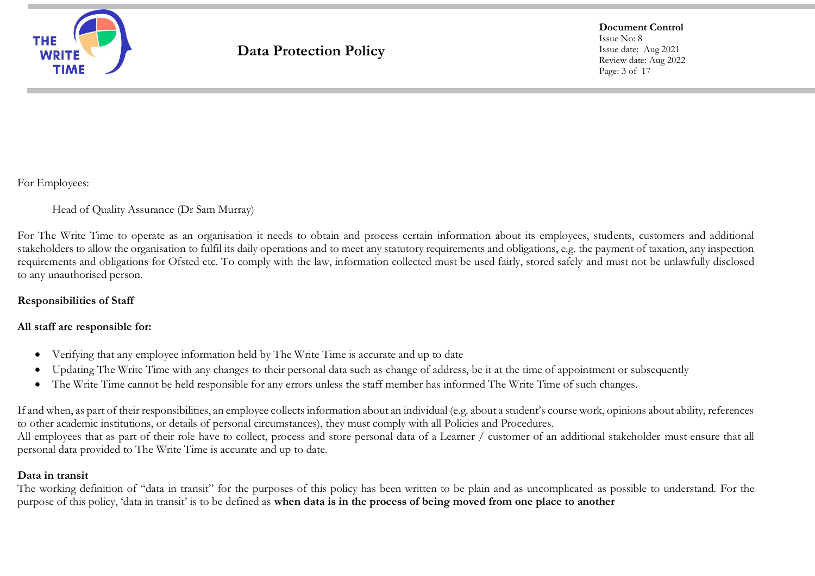

**Document Control** Issue No: 8 Issue date: Aug 2021 Review date: Aug 2022 Page: 3 of 17

For Employees:

Head of Quality Assurance (Dr Sam Murray)

For The Write Time to operate as an organisation it needs to obtain and process certain information about its employees, students, customers and additional stakeholders to allow the organisation to fulfil its daily operations and to meet any statutory requirements and obligations, e.g. the payment of taxation, any inspection requirements and obligations for Ofsted etc. To comply with the law, information collected must be used fairly, stored safely and must not be unlawfully disclosed to any unauthorised person.

### **Responsibilities of Staff**

### **All staff are responsible for:**

- Verifying that any employee information held by The Write Time is accurate and up to date
- Updating The Write Time with any changes to their personal data such as change of address, be it at the time of appointment or subsequently
- The Write Time cannot be held responsible for any errors unless the staff member has informed The Write Time of such changes.

If and when, as part of their responsibilities, an employee collects information about an individual (e.g. about a student's course work, opinions about ability, references to other academic institutions, or details of personal circumstances), they must comply with all Policies and Procedures. All employees that as part of their role have to collect, process and store personal data of a Learner / customer of an additional stakeholder must ensure that all personal data provided to The Write Time is accurate and up to date.

### **Data in transit**

The working definition of "data in transit" for the purposes of this policy has been written to be plain and as uncomplicated as possible to understand. For the purpose of this policy, 'data in transit' is to be defined as **when data is in the process of being moved from one place to another**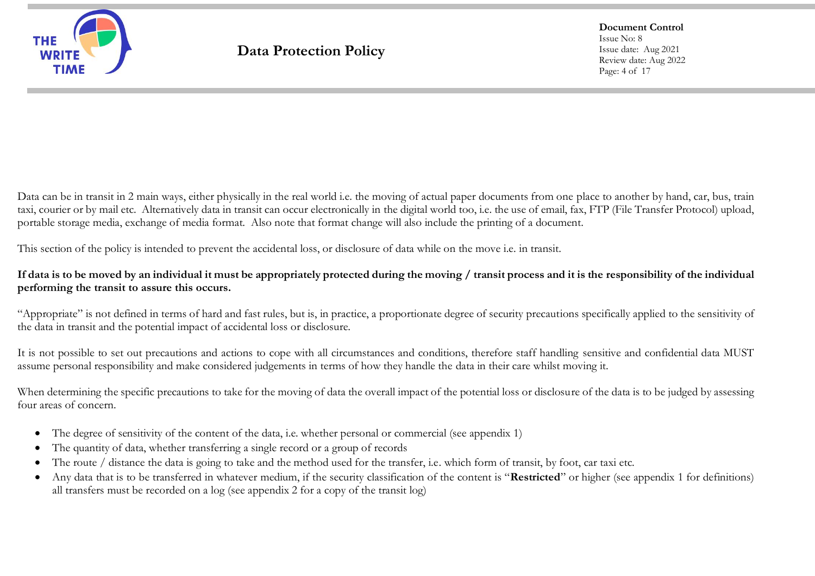

**Document Control** Issue No: 8 Issue date: Aug 2021 Review date: Aug 2022 Page: 4 of 17

Data can be in transit in 2 main ways, either physically in the real world i.e. the moving of actual paper documents from one place to another by hand, car, bus, train taxi, courier or by mail etc. Alternatively data in transit can occur electronically in the digital world too, i.e. the use of email, fax, FTP (File Transfer Protocol) upload, portable storage media, exchange of media format. Also note that format change will also include the printing of a document.

This section of the policy is intended to prevent the accidental loss, or disclosure of data while on the move i.e. in transit.

### **If data is to be moved by an individual it must be appropriately protected during the moving / transit process and it is the responsibility of the individual performing the transit to assure this occurs.**

"Appropriate" is not defined in terms of hard and fast rules, but is, in practice, a proportionate degree of security precautions specifically applied to the sensitivity of the data in transit and the potential impact of accidental loss or disclosure.

It is not possible to set out precautions and actions to cope with all circumstances and conditions, therefore staff handling sensitive and confidential data MUST assume personal responsibility and make considered judgements in terms of how they handle the data in their care whilst moving it.

When determining the specific precautions to take for the moving of data the overall impact of the potential loss or disclosure of the data is to be judged by assessing four areas of concern.

- The degree of sensitivity of the content of the data, i.e. whether personal or commercial (see appendix 1)
- The quantity of data, whether transferring a single record or a group of records
- The route / distance the data is going to take and the method used for the transfer, i.e. which form of transit, by foot, car taxi etc.
- Any data that is to be transferred in whatever medium, if the security classification of the content is "**Restricted**" or higher (see appendix 1 for definitions) all transfers must be recorded on a log (see appendix 2 for a copy of the transit log)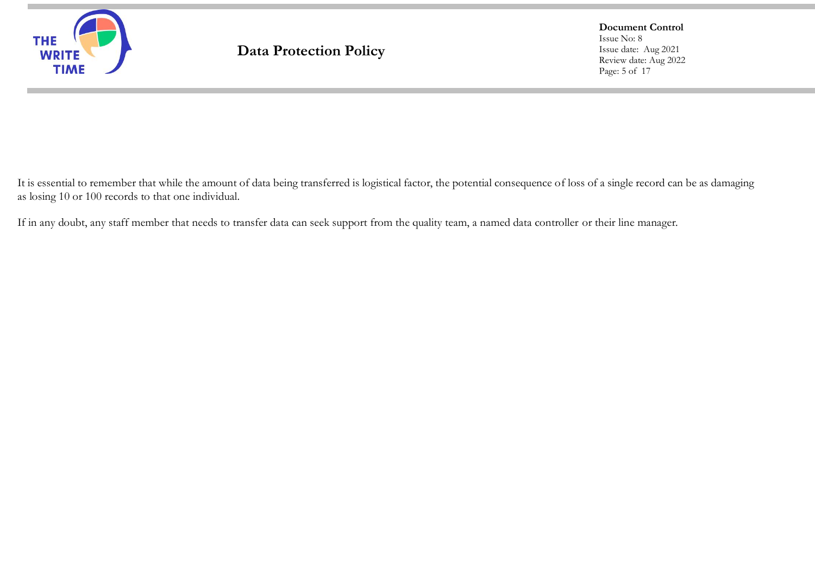

**Document Control** Issue No: 8 Issue date: Aug 2021 Review date: Aug 2022 Page: 5 of 17

It is essential to remember that while the amount of data being transferred is logistical factor, the potential consequence of loss of a single record can be as damaging as losing 10 or 100 records to that one individual.

If in any doubt, any staff member that needs to transfer data can seek support from the quality team, a named data controller or their line manager.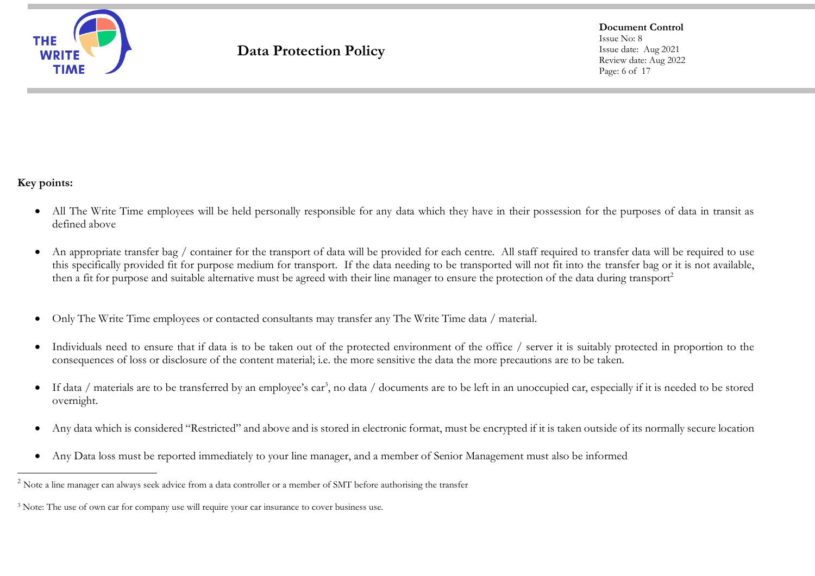

**Document Control** Issue No: 8 Issue date: Aug 2021 Review date: Aug 2022 Page: 6 of 17

### **Key points:**

- All The Write Time employees will be held personally responsible for any data which they have in their possession for the purposes of data in transit as defined above
- An appropriate transfer bag / container for the transport of data will be provided for each centre. All staff required to transfer data will be required to use this specifically provided fit for purpose medium for transport. If the data needing to be transported will not fit into the transfer bag or it is not available, then a fit for purpose and suitable alternative must be agreed with their line manager to ensure the protection of the data during transport<sup>2</sup>
- Only The Write Time employees or contacted consultants may transfer any The Write Time data / material.
- Individuals need to ensure that if data is to be taken out of the protected environment of the office / server it is suitably protected in proportion to the consequences of loss or disclosure of the content material; i.e. the more sensitive the data the more precautions are to be taken.
- If data / materials are to be transferred by an employee's car<sup>3</sup> , no data / documents are to be left in an unoccupied car, especially if it is needed to be stored overnight.
- Any data which is considered "Restricted" and above and is stored in electronic format, must be encrypted if it is taken outside of its normally secure location
- Any Data loss must be reported immediately to your line manager, and a member of Senior Management must also be informed

<sup>&</sup>lt;sup>2</sup> Note a line manager can always seek advice from a data controller or a member of SMT before authorising the transfer

<sup>&</sup>lt;sup>3</sup> Note: The use of own car for company use will require your car insurance to cover business use.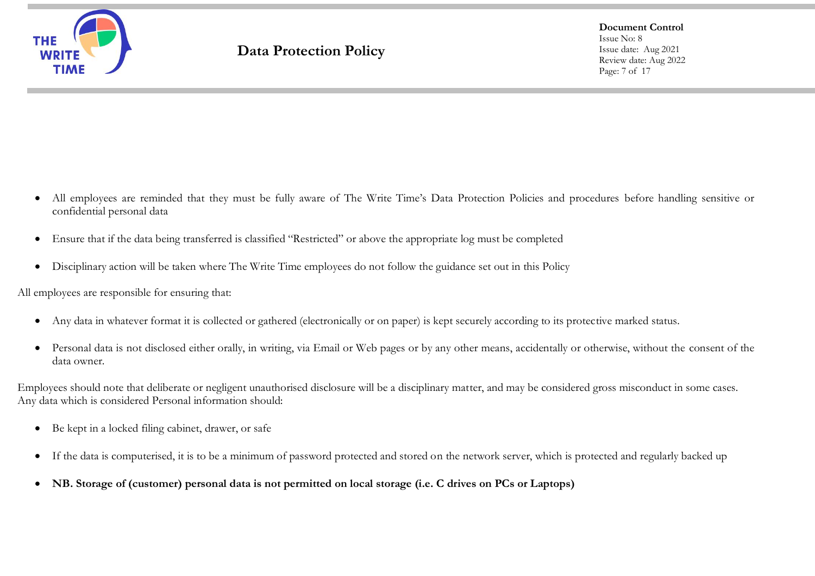

**Document Control** Issue No: 8 Issue date: Aug 2021 Review date: Aug 2022 Page: 7 of 17

- All employees are reminded that they must be fully aware of The Write Time's Data Protection Policies and procedures before handling sensitive or confidential personal data
- Ensure that if the data being transferred is classified "Restricted" or above the appropriate log must be completed
- Disciplinary action will be taken where The Write Time employees do not follow the guidance set out in this Policy

All employees are responsible for ensuring that:

- Any data in whatever format it is collected or gathered (electronically or on paper) is kept securely according to its protective marked status.
- Personal data is not disclosed either orally, in writing, via Email or Web pages or by any other means, accidentally or otherwise, without the consent of the data owner.

Employees should note that deliberate or negligent unauthorised disclosure will be a disciplinary matter, and may be considered gross misconduct in some cases. Any data which is considered Personal information should:

- Be kept in a locked filing cabinet, drawer, or safe
- If the data is computerised, it is to be a minimum of password protected and stored on the network server, which is protected and regularly backed up
- **NB. Storage of (customer) personal data is not permitted on local storage (i.e. C drives on PCs or Laptops)**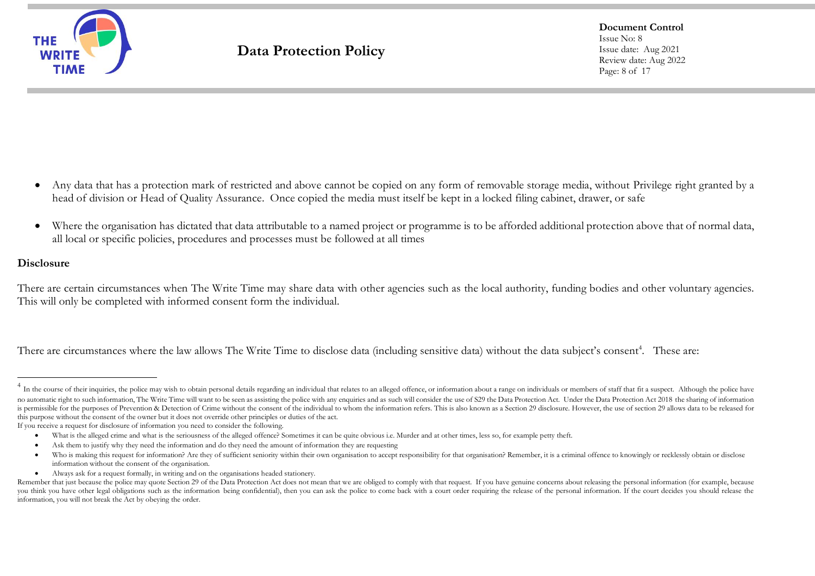

**Document Control** Issue No: 8 Issue date: Aug 2021 Review date: Aug 2022 Page: 8 of 17

- Any data that has a protection mark of restricted and above cannot be copied on any form of removable storage media, without Privilege right granted by a head of division or Head of Quality Assurance. Once copied the media must itself be kept in a locked filing cabinet, drawer, or safe
- Where the organisation has dictated that data attributable to a named project or programme is to be afforded additional protection above that of normal data, all local or specific policies, procedures and processes must be followed at all times

#### **Disclosure**

There are certain circumstances when The Write Time may share data with other agencies such as the local authority, funding bodies and other voluntary agencies. This will only be completed with informed consent form the individual.

There are circumstances where the law allows The Write Time to disclose data (including sensitive data) without the data subject's consent<sup>4</sup>. These are:

If you receive a request for disclosure of information you need to consider the following.

• Always ask for a request formally, in writing and on the organisations headed stationery.

<sup>&</sup>lt;sup>4</sup> In the course of their inquiries, the police may wish to obtain personal details regarding an individual that relates to an alleged offence, or information about a range on individuals or members of staff that fit a su no automatic right to such information, The Write Time will want to be seen as assisting the police with any enquiries and as such will consider the use of S29 the Data Protection Act. Under the Data Protection Act 2018 th is permissible for the purposes of Prevention & Detection of Crime without the consent of the individual to whom the information refers. This is also known as a Section 29 disclosure. However, the use of section 29 allows this purpose without the consent of the owner but it does not override other principles or duties of the act.

<sup>•</sup> What is the alleged crime and what is the seriousness of the alleged offence? Sometimes it can be quite obvious i.e. Murder and at other times, less so, for example petty theft.

<sup>•</sup> Ask them to justify why they need the information and do they need the amount of information they are requesting

<sup>•</sup> Who is making this request for information? Are they of sufficient seniority within their own organisation to accept responsibility for that organisation? Remember, it is a criminal offence to knowingly or recklessly obt information without the consent of the organisation.

Remember that just because the police may quote Section 29 of the Data Protection Act does not mean that we are obliged to comply with that request. If you have genuine concerns about releasing the personal information (fo you think you have other legal obligations such as the information being confidential), then you can ask the police to come back with a court order requiring the release of the personal information. If the court decides yo information, you will not break the Act by obeying the order.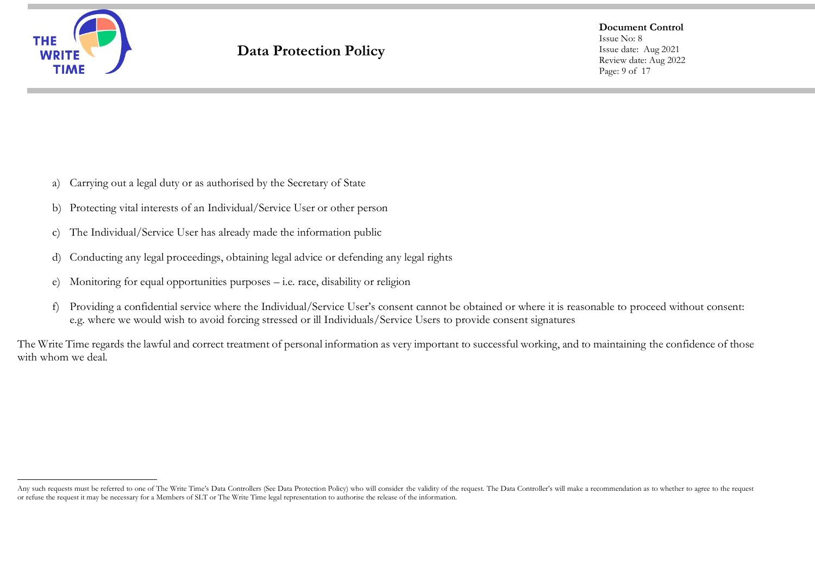

**Document Control** Issue No: 8 Issue date: Aug 2021 Review date: Aug 2022 Page: 9 of 17

- a) Carrying out a legal duty or as authorised by the Secretary of State
- b) Protecting vital interests of an Individual/Service User or other person
- c) The Individual/Service User has already made the information public
- d) Conducting any legal proceedings, obtaining legal advice or defending any legal rights
- e) Monitoring for equal opportunities purposes i.e. race, disability or religion
- f) Providing a confidential service where the Individual/Service User's consent cannot be obtained or where it is reasonable to proceed without consent: e.g. where we would wish to avoid forcing stressed or ill Individuals/Service Users to provide consent signatures

The Write Time regards the lawful and correct treatment of personal information as very important to successful working, and to maintaining the confidence of those with whom we deal.

Any such requests must be referred to one of The Write Time's Data Controllers (See Data Protection Policy) who will consider the validity of the request. The Data Controller's will make a recommendation as to whether to a or refuse the request it may be necessary for a Members of SLT or The Write Time legal representation to authorise the release of the information.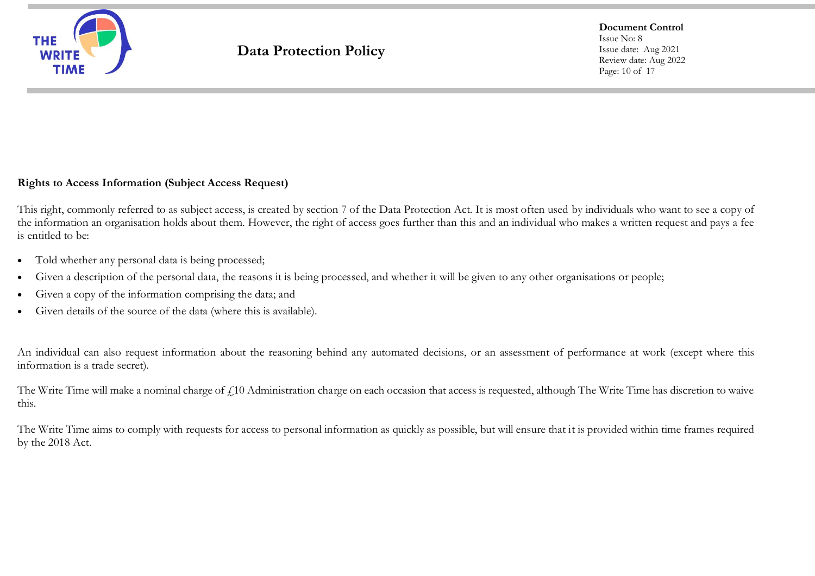

**Document Control** Issue No: 8 Issue date: Aug 2021 Review date: Aug 2022 Page: 10 of 17

### **Rights to Access Information (Subject Access Request)**

This right, commonly referred to as subject access, is created by section 7 of the Data Protection Act. It is most often used by individuals who want to see a copy of the information an organisation holds about them. However, the right of access goes further than this and an individual who makes a written request and pays a fee is entitled to be:

- Told whether any personal data is being processed;
- Given a description of the personal data, the reasons it is being processed, and whether it will be given to any other organisations or people;
- Given a copy of the information comprising the data; and
- Given details of the source of the data (where this is available).

An individual can also request information about the reasoning behind any automated decisions, or an assessment of performance at work (except where this information is a trade secret).

The Write Time will make a nominal charge of  $f<sub>10</sub>$  Administration charge on each occasion that access is requested, although The Write Time has discretion to waive this.

The Write Time aims to comply with requests for access to personal information as quickly as possible, but will ensure that it is provided within time frames required by the 2018 Act.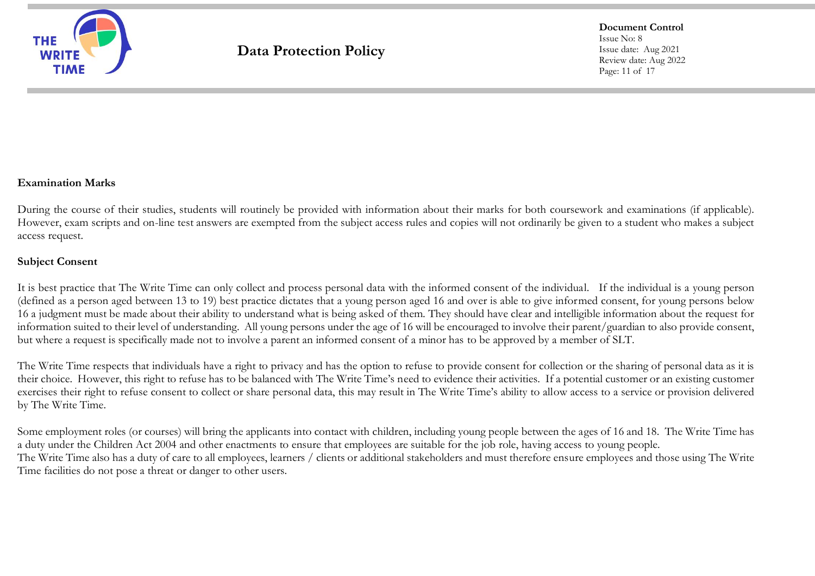

**Document Control** Issue No: 8 Issue date: Aug 2021 Review date: Aug 2022 Page: 11 of 17

### **Examination Marks**

During the course of their studies, students will routinely be provided with information about their marks for both coursework and examinations (if applicable). However, exam scripts and on-line test answers are exempted from the subject access rules and copies will not ordinarily be given to a student who makes a subject access request.

### **Subject Consent**

It is best practice that The Write Time can only collect and process personal data with the informed consent of the individual. If the individual is a young person (defined as a person aged between 13 to 19) best practice dictates that a young person aged 16 and over is able to give informed consent, for young persons below 16 a judgment must be made about their ability to understand what is being asked of them. They should have clear and intelligible information about the request for information suited to their level of understanding. All young persons under the age of 16 will be encouraged to involve their parent/guardian to also provide consent, but where a request is specifically made not to involve a parent an informed consent of a minor has to be approved by a member of SLT.

The Write Time respects that individuals have a right to privacy and has the option to refuse to provide consent for collection or the sharing of personal data as it is their choice. However, this right to refuse has to be balanced with The Write Time's need to evidence their activities. If a potential customer or an existing customer exercises their right to refuse consent to collect or share personal data, this may result in The Write Time's ability to allow access to a service or provision delivered by The Write Time.

Some employment roles (or courses) will bring the applicants into contact with children, including young people between the ages of 16 and 18. The Write Time has a duty under the Children Act 2004 and other enactments to ensure that employees are suitable for the job role, having access to young people. The Write Time also has a duty of care to all employees, learners / clients or additional stakeholders and must therefore ensure employees and those using The Write Time facilities do not pose a threat or danger to other users.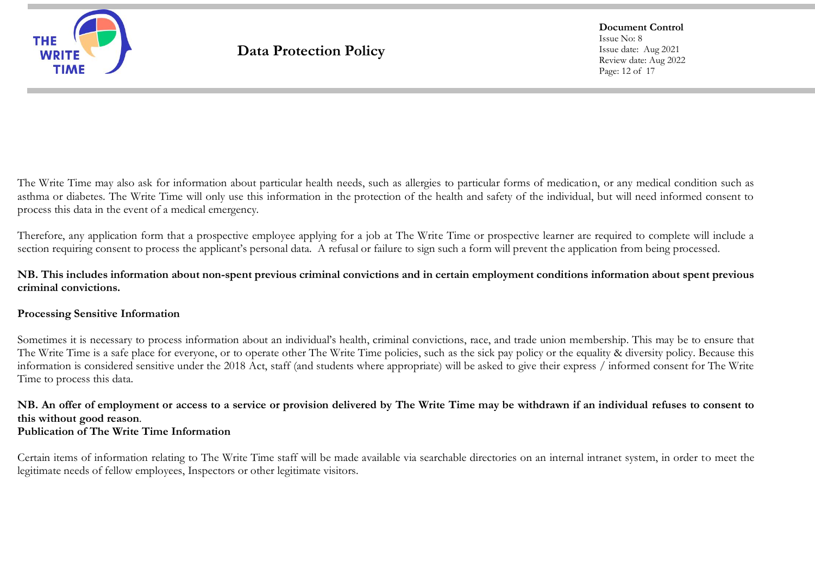

**Document Control** Issue No: 8 Issue date: Aug 2021 Review date: Aug 2022 Page: 12 of 17

The Write Time may also ask for information about particular health needs, such as allergies to particular forms of medication, or any medical condition such as asthma or diabetes. The Write Time will only use this information in the protection of the health and safety of the individual, but will need informed consent to process this data in the event of a medical emergency.

Therefore, any application form that a prospective employee applying for a job at The Write Time or prospective learner are required to complete will include a section requiring consent to process the applicant's personal data. A refusal or failure to sign such a form will prevent the application from being processed.

**NB. This includes information about non-spent previous criminal convictions and in certain employment conditions information about spent previous criminal convictions.**

### **Processing Sensitive Information**

Sometimes it is necessary to process information about an individual's health, criminal convictions, race, and trade union membership. This may be to ensure that The Write Time is a safe place for everyone, or to operate other The Write Time policies, such as the sick pay policy or the equality & diversity policy. Because this information is considered sensitive under the 2018 Act, staff (and students where appropriate) will be asked to give their express / informed consent for The Write Time to process this data.

**NB. An offer of employment or access to a service or provision delivered by The Write Time may be withdrawn if an individual refuses to consent to this without good reason**. **Publication of The Write Time Information**

Certain items of information relating to The Write Time staff will be made available via searchable directories on an internal intranet system, in order to meet the legitimate needs of fellow employees, Inspectors or other legitimate visitors.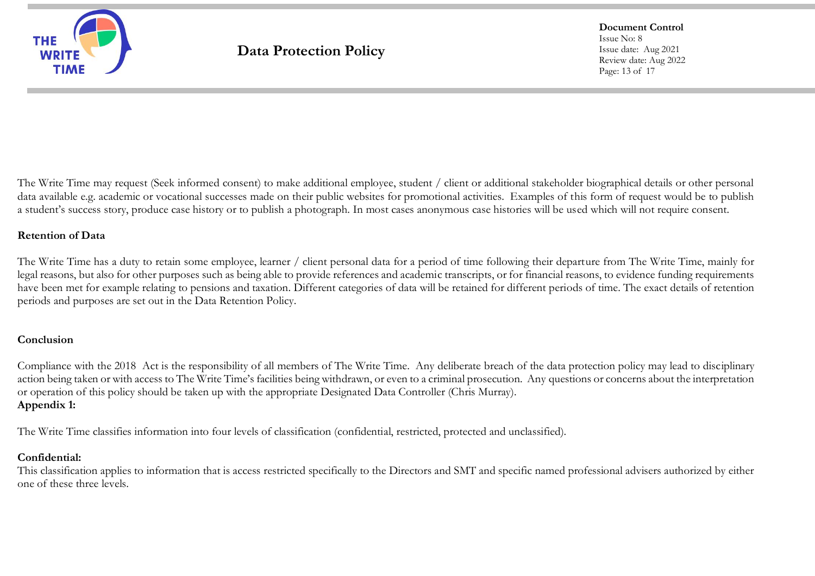

**Document Control** Issue No: 8 Issue date: Aug 2021 Review date: Aug 2022 Page: 13 of 17

The Write Time may request (Seek informed consent) to make additional employee, student / client or additional stakeholder biographical details or other personal data available e.g. academic or vocational successes made on their public websites for promotional activities. Examples of this form of request would be to publish a student's success story, produce case history or to publish a photograph. In most cases anonymous case histories will be used which will not require consent.

## **Retention of Data**

The Write Time has a duty to retain some employee, learner / client personal data for a period of time following their departure from The Write Time, mainly for legal reasons, but also for other purposes such as being able to provide references and academic transcripts, or for financial reasons, to evidence funding requirements have been met for example relating to pensions and taxation. Different categories of data will be retained for different periods of time. The exact details of retention periods and purposes are set out in the Data Retention Policy.

# **Conclusion**

Compliance with the 2018 Act is the responsibility of all members of The Write Time. Any deliberate breach of the data protection policy may lead to disciplinary action being taken or with access to The Write Time's facilities being withdrawn, or even to a criminal prosecution. Any questions or concerns about the interpretation or operation of this policy should be taken up with the appropriate Designated Data Controller (Chris Murray). **Appendix 1:**

The Write Time classifies information into four levels of classification (confidential, restricted, protected and unclassified).

### **Confidential:**

This classification applies to information that is access restricted specifically to the Directors and SMT and specific named professional advisers authorized by either one of these three levels.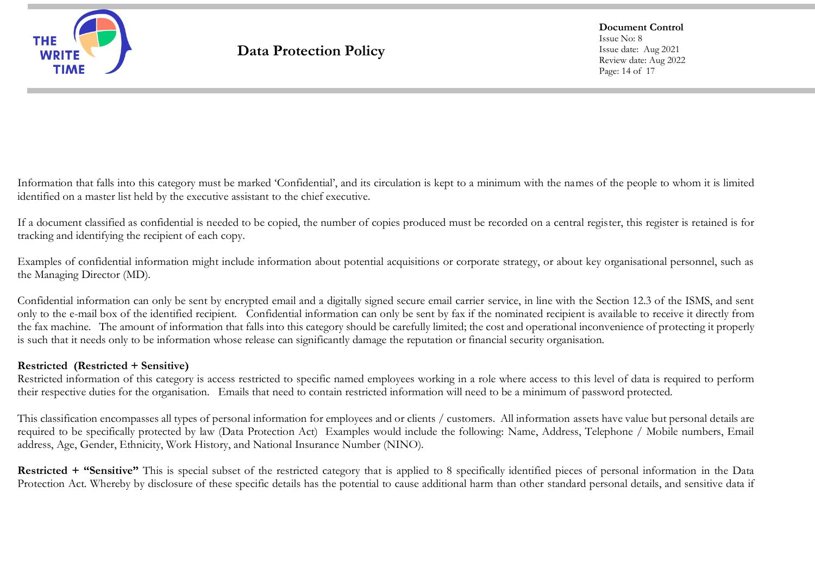

**Document Control** Issue No: 8 Issue date: Aug 2021 Review date: Aug 2022 Page: 14 of 17

Information that falls into this category must be marked 'Confidential', and its circulation is kept to a minimum with the names of the people to whom it is limited identified on a master list held by the executive assistant to the chief executive.

If a document classified as confidential is needed to be copied, the number of copies produced must be recorded on a central register, this register is retained is for tracking and identifying the recipient of each copy.

Examples of confidential information might include information about potential acquisitions or corporate strategy, or about key organisational personnel, such as the Managing Director (MD).

Confidential information can only be sent by encrypted email and a digitally signed secure email carrier service, in line with the Section 12.3 of the ISMS, and sent only to the e-mail box of the identified recipient. Confidential information can only be sent by fax if the nominated recipient is available to receive it directly from the fax machine. The amount of information that falls into this category should be carefully limited; the cost and operational inconvenience of protecting it properly is such that it needs only to be information whose release can significantly damage the reputation or financial security organisation.

### **Restricted (Restricted + Sensitive)**

Restricted information of this category is access restricted to specific named employees working in a role where access to this level of data is required to perform their respective duties for the organisation. Emails that need to contain restricted information will need to be a minimum of password protected.

This classification encompasses all types of personal information for employees and or clients / customers. All information assets have value but personal details are required to be specifically protected by law (Data Protection Act) Examples would include the following: Name, Address, Telephone / Mobile numbers, Email address, Age, Gender, Ethnicity, Work History, and National Insurance Number (NINO).

**Restricted + "Sensitive"** This is special subset of the restricted category that is applied to 8 specifically identified pieces of personal information in the Data Protection Act. Whereby by disclosure of these specific details has the potential to cause additional harm than other standard personal details, and sensitive data if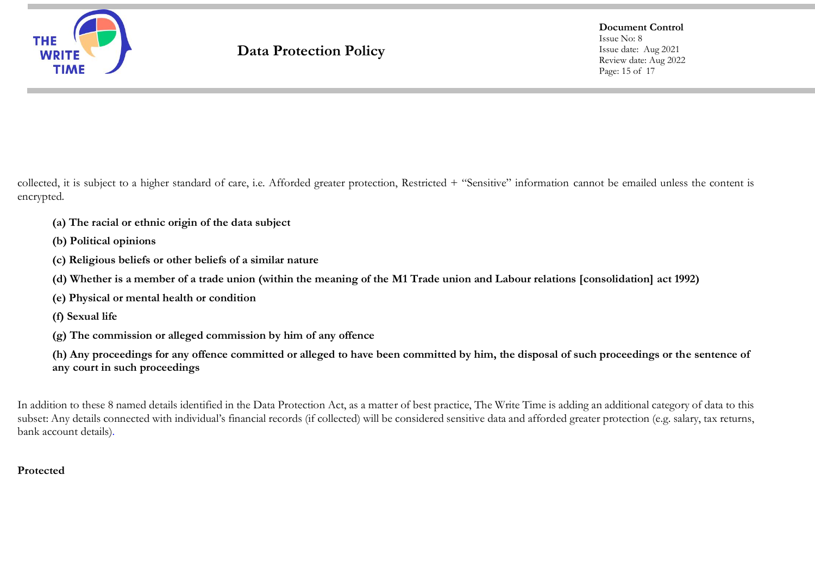

**Document Control** Issue No: 8 Issue date: Aug 2021 Review date: Aug 2022 Page: 15 of 17

collected, it is subject to a higher standard of care, i.e. Afforded greater protection, Restricted + "Sensitive" information cannot be emailed unless the content is encrypted.

- **(a) The racial or ethnic origin of the data subject**
- **(b) Political opinions**
- **(c) Religious beliefs or other beliefs of a similar nature**
- **(d) Whether is a member of a trade union (within the meaning of the [M1](http://www.legislation.gov.uk/ukpga/1998/29/section/2) Trade union and Labour relations [consolidation] act 1992)**
- **(e) Physical or mental health or condition**
- **(f) Sexual life**
- **(g) The commission or alleged commission by him of any offence**
- **(h) Any proceedings for any offence committed or alleged to have been committed by him, the disposal of such proceedings or the sentence of any court in such proceedings**

In addition to these 8 named details identified in the Data Protection Act, as a matter of best practice, The Write Time is adding an additional category of data to this subset: Any details connected with individual's financial records (if collected) will be considered sensitive data and afforded greater protection (e.g. salary, tax returns, bank account details).

# **Protected**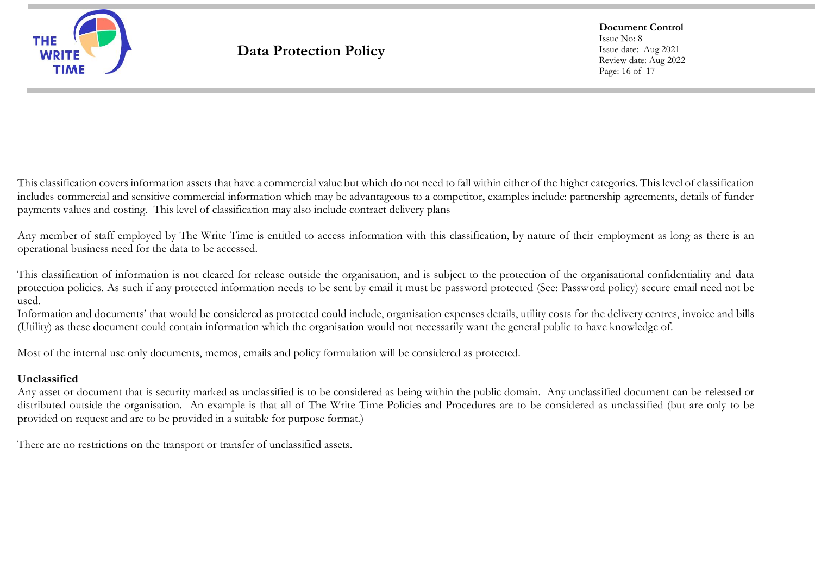

**Document Control** Issue No: 8 Issue date: Aug 2021 Review date: Aug 2022 Page: 16 of 17

This classification covers information assets that have a commercial value but which do not need to fall within either of the higher categories. This level of classification includes commercial and sensitive commercial information which may be advantageous to a competitor, examples include: partnership agreements, details of funder payments values and costing. This level of classification may also include contract delivery plans

Any member of staff employed by The Write Time is entitled to access information with this classification, by nature of their employment as long as there is an operational business need for the data to be accessed.

This classification of information is not cleared for release outside the organisation, and is subject to the protection of the organisational confidentiality and data protection policies. As such if any protected information needs to be sent by email it must be password protected (See: Password policy) secure email need not be used.

Information and documents' that would be considered as protected could include, organisation expenses details, utility costs for the delivery centres, invoice and bills (Utility) as these document could contain information which the organisation would not necessarily want the general public to have knowledge of.

Most of the internal use only documents, memos, emails and policy formulation will be considered as protected.

### **Unclassified**

Any asset or document that is security marked as unclassified is to be considered as being within the public domain. Any unclassified document can be released or distributed outside the organisation. An example is that all of The Write Time Policies and Procedures are to be considered as unclassified (but are only to be provided on request and are to be provided in a suitable for purpose format.)

There are no restrictions on the transport or transfer of unclassified assets.